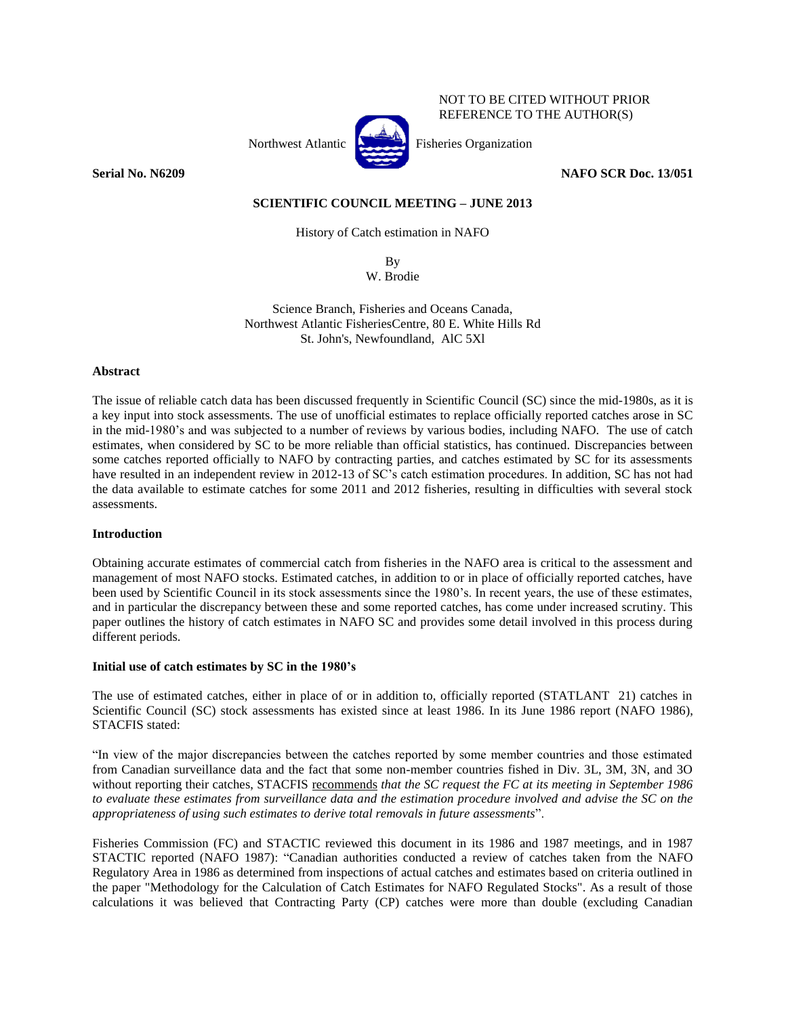

NOT TO BE CITED WITHOUT PRIOR REFERENCE TO THE AUTHOR(S)

**Serial No. N6209 NAFO SCR Doc. 13/051**

# **SCIENTIFIC COUNCIL MEETING – JUNE 2013**

History of Catch estimation in NAFO

By W. Brodie

Science Branch, Fisheries and Oceans Canada, Northwest Atlantic FisheriesCentre, 80 E. White Hills Rd St. John's, Newfoundland, AlC 5Xl

## **Abstract**

The issue of reliable catch data has been discussed frequently in Scientific Council (SC) since the mid-1980s, as it is a key input into stock assessments. The use of unofficial estimates to replace officially reported catches arose in SC in the mid-1980's and was subjected to a number of reviews by various bodies, including NAFO. The use of catch estimates, when considered by SC to be more reliable than official statistics, has continued. Discrepancies between some catches reported officially to NAFO by contracting parties, and catches estimated by SC for its assessments have resulted in an independent review in 2012-13 of SC's catch estimation procedures. In addition, SC has not had the data available to estimate catches for some 2011 and 2012 fisheries, resulting in difficulties with several stock assessments.

## **Introduction**

Obtaining accurate estimates of commercial catch from fisheries in the NAFO area is critical to the assessment and management of most NAFO stocks. Estimated catches, in addition to or in place of officially reported catches, have been used by Scientific Council in its stock assessments since the 1980's. In recent years, the use of these estimates, and in particular the discrepancy between these and some reported catches, has come under increased scrutiny. This paper outlines the history of catch estimates in NAFO SC and provides some detail involved in this process during different periods.

# **Initial use of catch estimates by SC in the 1980's**

The use of estimated catches, either in place of or in addition to, officially reported (STATLANT 21) catches in Scientific Council (SC) stock assessments has existed since at least 1986. In its June 1986 report (NAFO 1986), STACFIS stated:

"In view of the major discrepancies between the catches reported by some member countries and those estimated from Canadian surveillance data and the fact that some non-member countries fished in Div. 3L, 3M, 3N, and 3O without reporting their catches, STACFIS recommends *that the SC request the FC at its meeting in September 1986*  to evaluate these estimates from surveillance data and the estimation procedure involved and advise the SC on the *appropriateness of using such estimates to derive total removals in future assessments*".

Fisheries Commission (FC) and STACTIC reviewed this document in its 1986 and 1987 meetings, and in 1987 STACTIC reported (NAFO 1987): "Canadian authorities conducted a review of catches taken from the NAFO Regulatory Area in 1986 as determined from inspections of actual catches and estimates based on criteria outlined in the paper "Methodology for the Calculation of Catch Estimates for NAFO Regulated Stocks". As a result of those calculations it was believed that Contracting Party (CP) catches were more than double (excluding Canadian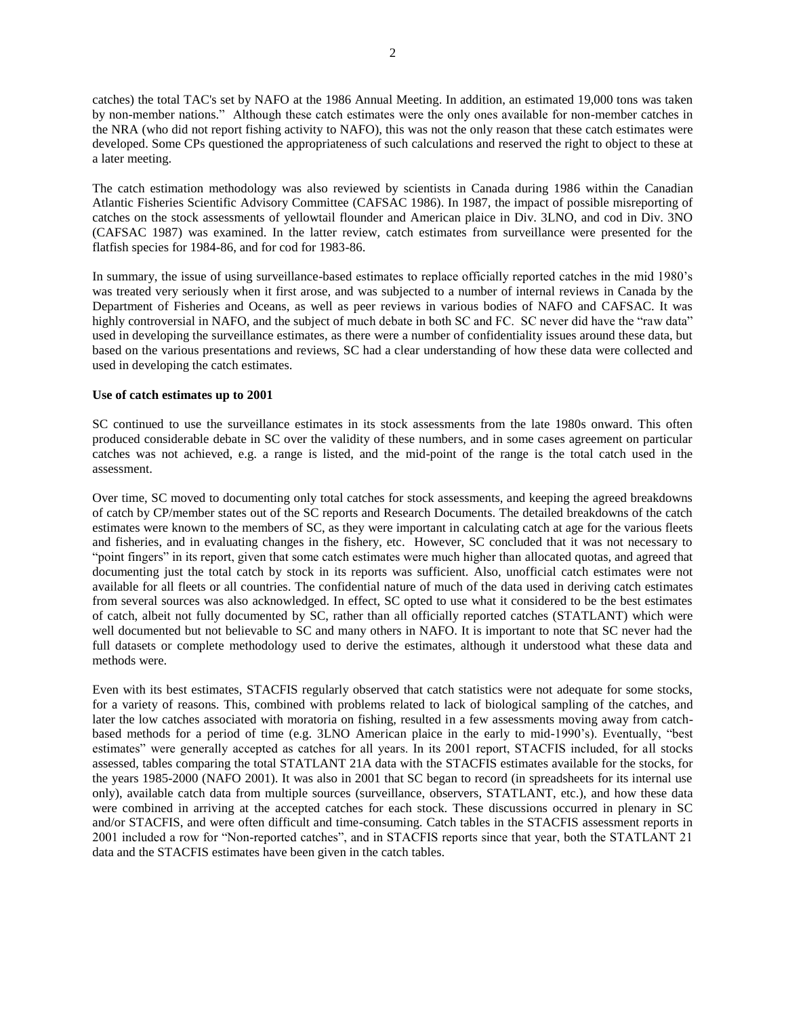catches) the total TAC's set by NAFO at the 1986 Annual Meeting. In addition, an estimated 19,000 tons was taken by non-member nations." Although these catch estimates were the only ones available for non-member catches in the NRA (who did not report fishing activity to NAFO), this was not the only reason that these catch estimates were developed. Some CPs questioned the appropriateness of such calculations and reserved the right to object to these at a later meeting.

The catch estimation methodology was also reviewed by scientists in Canada during 1986 within the Canadian Atlantic Fisheries Scientific Advisory Committee (CAFSAC 1986). In 1987, the impact of possible misreporting of catches on the stock assessments of yellowtail flounder and American plaice in Div. 3LNO, and cod in Div. 3NO (CAFSAC 1987) was examined. In the latter review, catch estimates from surveillance were presented for the flatfish species for 1984-86, and for cod for 1983-86.

In summary, the issue of using surveillance-based estimates to replace officially reported catches in the mid 1980's was treated very seriously when it first arose, and was subjected to a number of internal reviews in Canada by the Department of Fisheries and Oceans, as well as peer reviews in various bodies of NAFO and CAFSAC. It was highly controversial in NAFO, and the subject of much debate in both SC and FC. SC never did have the "raw data" used in developing the surveillance estimates, as there were a number of confidentiality issues around these data, but based on the various presentations and reviews, SC had a clear understanding of how these data were collected and used in developing the catch estimates.

## **Use of catch estimates up to 2001**

SC continued to use the surveillance estimates in its stock assessments from the late 1980s onward. This often produced considerable debate in SC over the validity of these numbers, and in some cases agreement on particular catches was not achieved, e.g. a range is listed, and the mid-point of the range is the total catch used in the assessment.

Over time, SC moved to documenting only total catches for stock assessments, and keeping the agreed breakdowns of catch by CP/member states out of the SC reports and Research Documents. The detailed breakdowns of the catch estimates were known to the members of SC, as they were important in calculating catch at age for the various fleets and fisheries, and in evaluating changes in the fishery, etc. However, SC concluded that it was not necessary to "point fingers" in its report, given that some catch estimates were much higher than allocated quotas, and agreed that documenting just the total catch by stock in its reports was sufficient. Also, unofficial catch estimates were not available for all fleets or all countries. The confidential nature of much of the data used in deriving catch estimates from several sources was also acknowledged. In effect, SC opted to use what it considered to be the best estimates of catch, albeit not fully documented by SC, rather than all officially reported catches (STATLANT) which were well documented but not believable to SC and many others in NAFO. It is important to note that SC never had the full datasets or complete methodology used to derive the estimates, although it understood what these data and methods were.

Even with its best estimates, STACFIS regularly observed that catch statistics were not adequate for some stocks, for a variety of reasons. This, combined with problems related to lack of biological sampling of the catches, and later the low catches associated with moratoria on fishing, resulted in a few assessments moving away from catchbased methods for a period of time (e.g. 3LNO American plaice in the early to mid-1990's). Eventually, "best estimates" were generally accepted as catches for all years. In its 2001 report, STACFIS included, for all stocks assessed, tables comparing the total STATLANT 21A data with the STACFIS estimates available for the stocks, for the years 1985-2000 (NAFO 2001). It was also in 2001 that SC began to record (in spreadsheets for its internal use only), available catch data from multiple sources (surveillance, observers, STATLANT, etc.), and how these data were combined in arriving at the accepted catches for each stock. These discussions occurred in plenary in SC and/or STACFIS, and were often difficult and time-consuming. Catch tables in the STACFIS assessment reports in 2001 included a row for "Non-reported catches", and in STACFIS reports since that year, both the STATLANT 21 data and the STACFIS estimates have been given in the catch tables.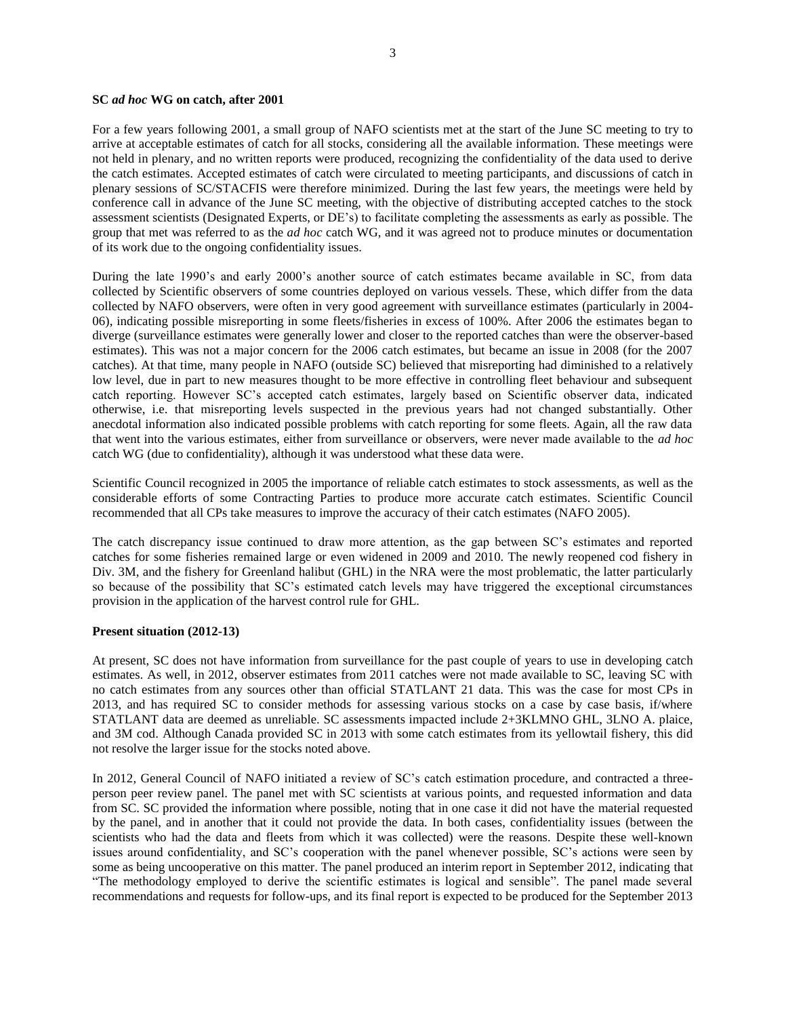### **SC** *ad hoc* **WG on catch, after 2001**

For a few years following 2001, a small group of NAFO scientists met at the start of the June SC meeting to try to arrive at acceptable estimates of catch for all stocks, considering all the available information. These meetings were not held in plenary, and no written reports were produced, recognizing the confidentiality of the data used to derive the catch estimates. Accepted estimates of catch were circulated to meeting participants, and discussions of catch in plenary sessions of SC/STACFIS were therefore minimized. During the last few years, the meetings were held by conference call in advance of the June SC meeting, with the objective of distributing accepted catches to the stock assessment scientists (Designated Experts, or DE's) to facilitate completing the assessments as early as possible. The group that met was referred to as the *ad hoc* catch WG, and it was agreed not to produce minutes or documentation of its work due to the ongoing confidentiality issues.

During the late 1990's and early 2000's another source of catch estimates became available in SC, from data collected by Scientific observers of some countries deployed on various vessels. These, which differ from the data collected by NAFO observers, were often in very good agreement with surveillance estimates (particularly in 2004- 06), indicating possible misreporting in some fleets/fisheries in excess of 100%. After 2006 the estimates began to diverge (surveillance estimates were generally lower and closer to the reported catches than were the observer-based estimates). This was not a major concern for the 2006 catch estimates, but became an issue in 2008 (for the 2007 catches). At that time, many people in NAFO (outside SC) believed that misreporting had diminished to a relatively low level, due in part to new measures thought to be more effective in controlling fleet behaviour and subsequent catch reporting. However SC's accepted catch estimates, largely based on Scientific observer data, indicated otherwise, i.e. that misreporting levels suspected in the previous years had not changed substantially. Other anecdotal information also indicated possible problems with catch reporting for some fleets. Again, all the raw data that went into the various estimates, either from surveillance or observers, were never made available to the *ad hoc* catch WG (due to confidentiality), although it was understood what these data were.

Scientific Council recognized in 2005 the importance of reliable catch estimates to stock assessments, as well as the considerable efforts of some Contracting Parties to produce more accurate catch estimates. Scientific Council recommended that all CPs take measures to improve the accuracy of their catch estimates (NAFO 2005).

The catch discrepancy issue continued to draw more attention, as the gap between SC's estimates and reported catches for some fisheries remained large or even widened in 2009 and 2010. The newly reopened cod fishery in Div. 3M, and the fishery for Greenland halibut (GHL) in the NRA were the most problematic, the latter particularly so because of the possibility that SC's estimated catch levels may have triggered the exceptional circumstances provision in the application of the harvest control rule for GHL.

#### **Present situation (2012-13)**

At present, SC does not have information from surveillance for the past couple of years to use in developing catch estimates. As well, in 2012, observer estimates from 2011 catches were not made available to SC, leaving SC with no catch estimates from any sources other than official STATLANT 21 data. This was the case for most CPs in 2013, and has required SC to consider methods for assessing various stocks on a case by case basis, if/where STATLANT data are deemed as unreliable. SC assessments impacted include 2+3KLMNO GHL, 3LNO A. plaice, and 3M cod. Although Canada provided SC in 2013 with some catch estimates from its yellowtail fishery, this did not resolve the larger issue for the stocks noted above.

In 2012, General Council of NAFO initiated a review of SC's catch estimation procedure, and contracted a threeperson peer review panel. The panel met with SC scientists at various points, and requested information and data from SC. SC provided the information where possible, noting that in one case it did not have the material requested by the panel, and in another that it could not provide the data. In both cases, confidentiality issues (between the scientists who had the data and fleets from which it was collected) were the reasons. Despite these well-known issues around confidentiality, and SC's cooperation with the panel whenever possible, SC's actions were seen by some as being uncooperative on this matter. The panel produced an interim report in September 2012, indicating that "The methodology employed to derive the scientific estimates is logical and sensible". The panel made several recommendations and requests for follow-ups, and its final report is expected to be produced for the September 2013